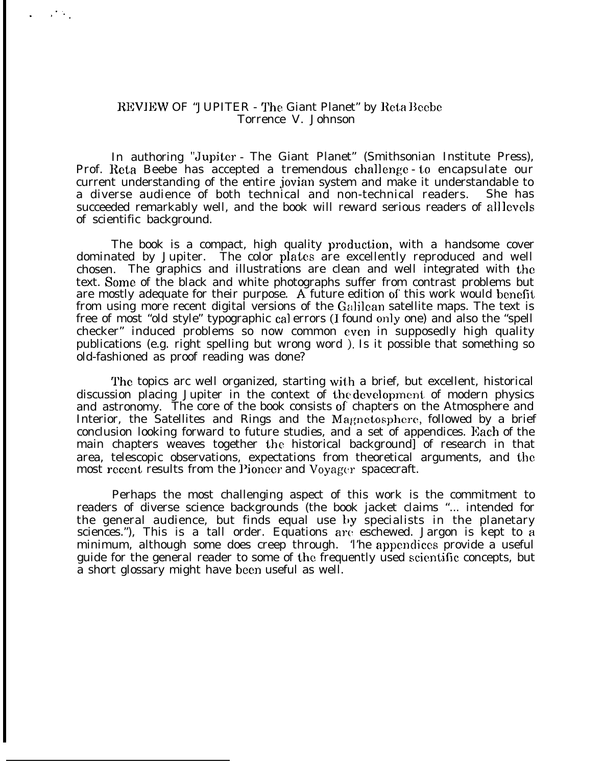## REVIEW OF "JUPITER - The Giant Planet" by Reta Beebe Torrence V. Johnson

.,. ".

> In authoring "Jupiter - The Giant Planet" (Smithsonian Institute Press), Prof. Reta Beebe has accepted a tremendous challenge - to encapsulate our current understanding of the entire jovian system and make it understandable to a diverse audience of both technical and non-technical readers. She has succeeded remarkably well, and the book will reward serious readers of all levels of scientific background.

> The book is a compact, high quality production, with a handsome cover dominated by Jupiter. The color plates are excellently reproduced and well chosen. The graphics and illustrations are clean and well integrated with the text. Some of the black and white photographs suffer from contrast problems but are mostly adequate for their purpose. A future edition of' this work would benefit from using more recent digital versions of the Galilean satellite maps. The text is free of most "old style" typographic cal errors (I found only one) and also the "spell checker" induced problems so now common even in supposedly high quality publications (e.g. right spelling but wrong word ), Is it possible that something so old-fashioned as proof reading was done?

> The topics arc well organized, starting with a brief, but excellent, historical discussion placing Jupiter in the context of the development of modern physics and astronomy. The core of the book consists of chapters on the Atmosphere and Interior, the Satellites and Rings and the Magnetosphere, followed by a brief conclusion looking forward to future studies, and a set of appendices. Each of the main chapters weaves together the historical background] of research in that area, telescopic observations, expectations from theoretical arguments, and the most recent results from the Pioneer and Voyager spacecraft.

> Perhaps the most challenging aspect of this work is the commitment to readers of diverse science backgrounds (the book jacket claims "... intended for the general audience, but finds equal use by specialists in the planetary sciences."), This is a tall order. Equations are eschewed. Jargon is kept to a minimum, although some does creep through. The appendices provide a useful guide for the general reader to some of the frequently used scicmtific concepts, but a short glossary might have been useful as well.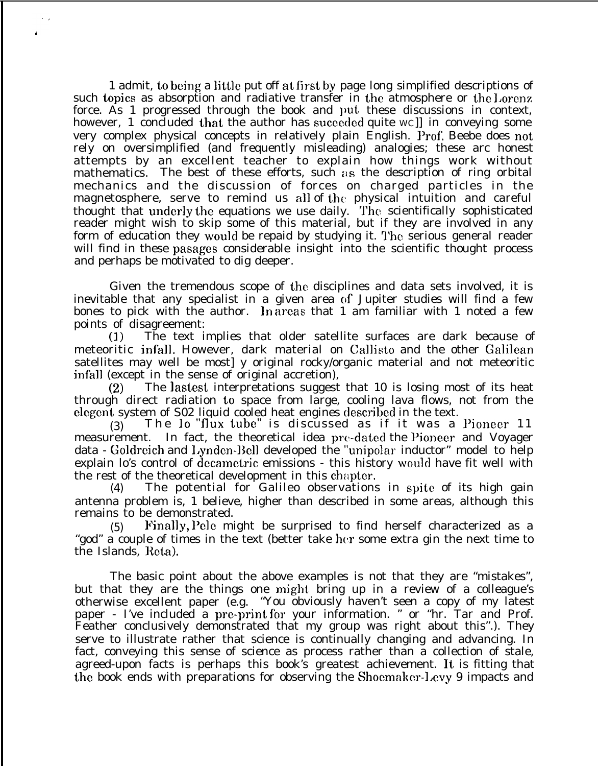1 admit, to being a little put off at first by page long simplified descriptions of such topics as absorption and radiative transfer in the atmosphere or the Lorenz force. As 1 progressed through the book and put these discussions in context, however, 1 concluded that the author has suceeded quite WC in conveying some very complex physical concepts in relatively plain English. Prof. Beebe does not rely on oversimplified (and frequently misleading) analogies; these arc honest attempts by an excellent teacher to explain how things work without mathematics. The best of these efforts, such  $a\,$ s the description of ring orbital mechanics and the discussion of forces on charged particles in the magnetosphere, serve to remind us all of the physical intuition and careful thought that underly the equations we use daily. The scientifically sophisticated reader might wish to skip some of this material, but if they are involved in any form of education they would be repaid by studying it. The serious general reader will find in these pasages considerable insight into the scientific thought process and perhaps be motivated to dig deeper.

Given the tremendous scope of the disciplines and data sets involved, it is inevitable that any specialist in a given area of Jupiter studies will find a few bones to pick with the author. In areas that 1 am familiar with 1 noted a few points of disagreement:

(J) The text implies that older satellite surfaces are dark because of meteoritic infall. However, dark material on Callisto and the other Galilean satellites may well be most] y original rocky/organic material and not meteoritic infall (except in the sense of original accretion),

(2) The lastest interpretations suggest that 10 is losing most of its heat through direct radiation to space from large, cooling lava flows, not from the elegent system of S02 liquid cooled heat engines described in the text.

(3) The **IO "flux tube"** is discussed as if it was a l)ioneer 11 measurement. In fact, the theoretical idea pre-dated the Pioneer and Voyager data - Goldreich and Lynden-Bell developed the "unipolar inductor" model to help explain lo's control of decametric emissions - this history would have fit well with the rest of the theoretical development in this chapter.

 $(4)$  The potential for Galileo observations in spite of its high gain antenna problem is, 1 believe, higher than described in some areas, although this remains to be demonstrated.

 $(5)$  Finally, Pele might be surprised to find herself characterized as a "god" a couple of times in the text (better take hcr some extra gin the next time to the Islands, Reta).

The basic point about the above examples is not that they are "mistakes", but that they are the things one might bring up in a review of a colleague's otherwise excellent paper (e.g. "You obviously haven't seen a copy of my latest paper - I've included a pre-print for your information. " or "hr. Tar and Prof. Feather conclusively demonstrated that my group was right about this''.). They serve to illustrate rather that science is continually changing and advancing. In fact, conveying this sense of science as process rather than a collection of stale, agreed-upon facts is perhaps this book's greatest achievement. It is fitting that the book ends with preparations for observing the Shoemaker-l,evy 9 impacts and